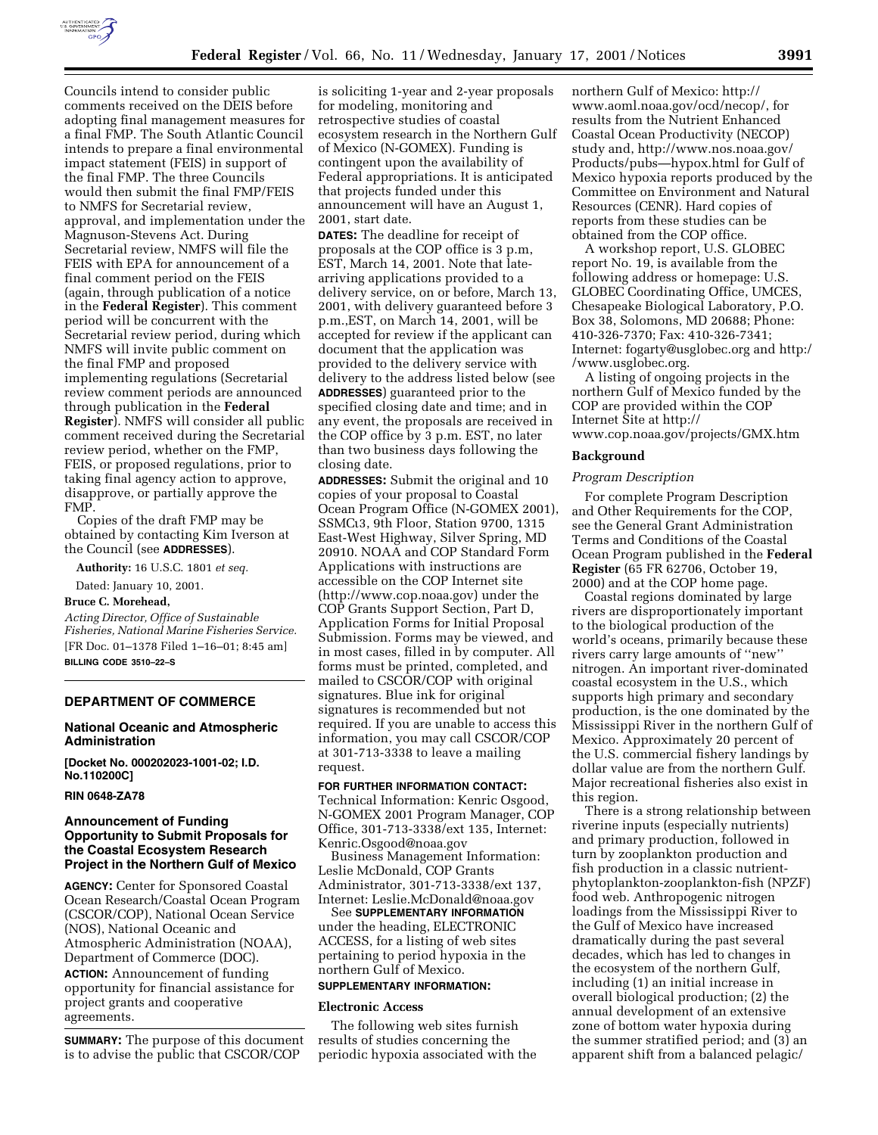

Councils intend to consider public comments received on the DEIS before adopting final management measures for a final FMP. The South Atlantic Council intends to prepare a final environmental impact statement (FEIS) in support of the final FMP. The three Councils would then submit the final FMP/FEIS to NMFS for Secretarial review, approval, and implementation under the Magnuson-Stevens Act. During Secretarial review, NMFS will file the FEIS with EPA for announcement of a final comment period on the FEIS (again, through publication of a notice in the **Federal Register**). This comment period will be concurrent with the Secretarial review period, during which NMFS will invite public comment on the final FMP and proposed implementing regulations (Secretarial review comment periods are announced through publication in the **Federal Register**). NMFS will consider all public comment received during the Secretarial review period, whether on the FMP, FEIS, or proposed regulations, prior to taking final agency action to approve, disapprove, or partially approve the FMP.

Copies of the draft FMP may be obtained by contacting Kim Iverson at the Council (see **ADDRESSES**).

**Authority:** 16 U.S.C. 1801 *et seq.*

Dated: January 10, 2001.

#### **Bruce C. Morehead,**

*Acting Director, Office of Sustainable Fisheries, National Marine Fisheries Service.* [FR Doc. 01–1378 Filed 1–16–01; 8:45 am] **BILLING CODE 3510–22–S**

# **DEPARTMENT OF COMMERCE**

### **National Oceanic and Atmospheric Administration**

**[Docket No. 000202023-1001-02; I.D. No.110200C]**

## **RIN 0648-ZA78**

## **Announcement of Funding Opportunity to Submit Proposals for the Coastal Ecosystem Research Project in the Northern Gulf of Mexico**

**AGENCY:** Center for Sponsored Coastal Ocean Research/Coastal Ocean Program (CSCOR/COP), National Ocean Service (NOS), National Oceanic and Atmospheric Administration (NOAA), Department of Commerce (DOC). **ACTION:** Announcement of funding opportunity for financial assistance for project grants and cooperative

## agreements.

**SUMMARY:** The purpose of this document is to advise the public that CSCOR/COP

is soliciting 1-year and 2-year proposals for modeling, monitoring and retrospective studies of coastal ecosystem research in the Northern Gulf of Mexico (N-GOMEX). Funding is contingent upon the availability of Federal appropriations. It is anticipated that projects funded under this announcement will have an August 1, 2001, start date.

**DATES:** The deadline for receipt of proposals at the COP office is 3 p.m, EST, March 14, 2001. Note that latearriving applications provided to a delivery service, on or before, March 13, 2001, with delivery guaranteed before 3 p.m.,EST, on March 14, 2001, will be accepted for review if the applicant can document that the application was provided to the delivery service with delivery to the address listed below (see **ADDRESSES**) guaranteed prior to the specified closing date and time; and in any event, the proposals are received in the COP office by 3 p.m. EST, no later than two business days following the closing date.

**ADDRESSES:** Submit the original and 10 copies of your proposal to Coastal Ocean Program Office (N-GOMEX 2001), SSMCι3, 9th Floor, Station 9700, 1315 East-West Highway, Silver Spring, MD 20910. NOAA and COP Standard Form Applications with instructions are accessible on the COP Internet site (http://www.cop.noaa.gov) under the COP Grants Support Section, Part D, Application Forms for Initial Proposal Submission. Forms may be viewed, and in most cases, filled in by computer. All forms must be printed, completed, and mailed to CSCOR/COP with original signatures. Blue ink for original signatures is recommended but not required. If you are unable to access this information, you may call CSCOR/COP at 301-713-3338 to leave a mailing request.

## **FOR FURTHER INFORMATION CONTACT:**

Technical Information: Kenric Osgood, N-GOMEX 2001 Program Manager, COP Office, 301-713-3338/ext 135, Internet: Kenric.Osgood@noaa.gov

Business Management Information: Leslie McDonald, COP Grants Administrator, 301-713-3338/ext 137, Internet: Leslie.McDonald@noaa.gov

See **SUPPLEMENTARY INFORMATION** under the heading, ELECTRONIC ACCESS, for a listing of web sites pertaining to period hypoxia in the northern Gulf of Mexico.

## **SUPPLEMENTARY INFORMATION:**

### **Electronic Access**

The following web sites furnish results of studies concerning the periodic hypoxia associated with the

northern Gulf of Mexico: http:// www.aoml.noaa.gov/ocd/necop/, for results from the Nutrient Enhanced Coastal Ocean Productivity (NECOP) study and, http://www.nos.noaa.gov/ Products/pubs—hypox.html for Gulf of Mexico hypoxia reports produced by the Committee on Environment and Natural Resources (CENR). Hard copies of reports from these studies can be obtained from the COP office.

A workshop report, U.S. GLOBEC report No. 19, is available from the following address or homepage: U.S. GLOBEC Coordinating Office, UMCES, Chesapeake Biological Laboratory, P.O. Box 38, Solomons, MD 20688; Phone: 410-326-7370; Fax: 410-326-7341; Internet: fogarty@usglobec.org and http:/ /www.usglobec.org.

A listing of ongoing projects in the northern Gulf of Mexico funded by the COP are provided within the COP Internet Site at http:// www.cop.noaa.gov/projects/GMX.htm

#### **Background**

#### *Program Description*

For complete Program Description and Other Requirements for the COP, see the General Grant Administration Terms and Conditions of the Coastal Ocean Program published in the **Federal Register** (65 FR 62706, October 19, 2000) and at the COP home page.

Coastal regions dominated by large rivers are disproportionately important to the biological production of the world's oceans, primarily because these rivers carry large amounts of ''new'' nitrogen. An important river-dominated coastal ecosystem in the U.S., which supports high primary and secondary production, is the one dominated by the Mississippi River in the northern Gulf of Mexico. Approximately 20 percent of the U.S. commercial fishery landings by dollar value are from the northern Gulf. Major recreational fisheries also exist in this region.

There is a strong relationship between riverine inputs (especially nutrients) and primary production, followed in turn by zooplankton production and fish production in a classic nutrientphytoplankton-zooplankton-fish (NPZF) food web. Anthropogenic nitrogen loadings from the Mississippi River to the Gulf of Mexico have increased dramatically during the past several decades, which has led to changes in the ecosystem of the northern Gulf, including (1) an initial increase in overall biological production; (2) the annual development of an extensive zone of bottom water hypoxia during the summer stratified period; and (3) an apparent shift from a balanced pelagic/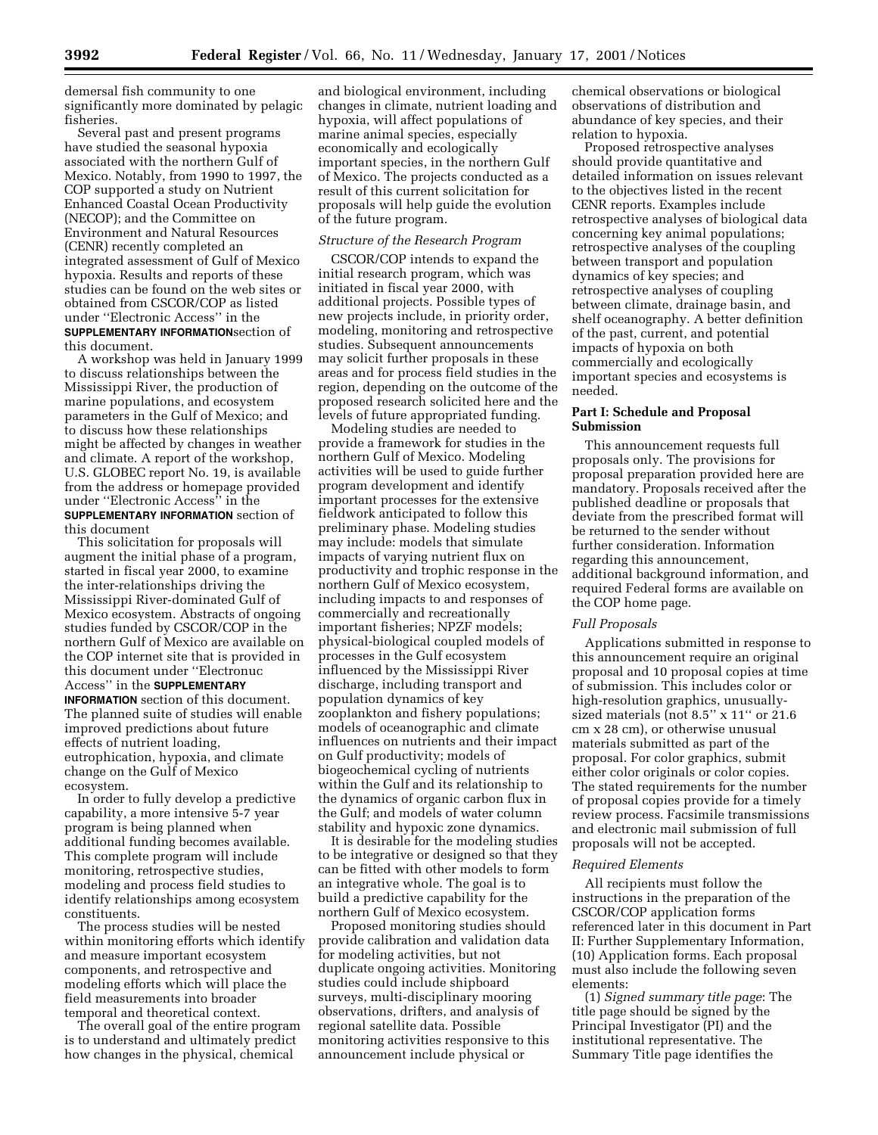demersal fish community to one significantly more dominated by pelagic fisheries.

Several past and present programs have studied the seasonal hypoxia associated with the northern Gulf of Mexico. Notably, from 1990 to 1997, the COP supported a study on Nutrient Enhanced Coastal Ocean Productivity (NECOP); and the Committee on Environment and Natural Resources (CENR) recently completed an integrated assessment of Gulf of Mexico hypoxia. Results and reports of these studies can be found on the web sites or obtained from CSCOR/COP as listed under ''Electronic Access'' in the **SUPPLEMENTARY INFORMATION**section of this document.

A workshop was held in January 1999 to discuss relationships between the Mississippi River, the production of marine populations, and ecosystem parameters in the Gulf of Mexico; and to discuss how these relationships might be affected by changes in weather and climate. A report of the workshop, U.S. GLOBEC report No. 19, is available from the address or homepage provided under ''Electronic Access'' in the **SUPPLEMENTARY INFORMATION** section of this document

This solicitation for proposals will augment the initial phase of a program, started in fiscal year 2000, to examine the inter-relationships driving the Mississippi River-dominated Gulf of Mexico ecosystem. Abstracts of ongoing studies funded by CSCOR/COP in the northern Gulf of Mexico are available on the COP internet site that is provided in this document under ''Electronuc Access'' in the **SUPPLEMENTARY INFORMATION** section of this document. The planned suite of studies will enable improved predictions about future effects of nutrient loading, eutrophication, hypoxia, and climate change on the Gulf of Mexico ecosystem.

In order to fully develop a predictive capability, a more intensive 5-7 year program is being planned when additional funding becomes available. This complete program will include monitoring, retrospective studies, modeling and process field studies to identify relationships among ecosystem constituents.

The process studies will be nested within monitoring efforts which identify and measure important ecosystem components, and retrospective and modeling efforts which will place the field measurements into broader temporal and theoretical context.

The overall goal of the entire program is to understand and ultimately predict how changes in the physical, chemical

and biological environment, including changes in climate, nutrient loading and hypoxia, will affect populations of marine animal species, especially economically and ecologically important species, in the northern Gulf of Mexico. The projects conducted as a result of this current solicitation for proposals will help guide the evolution of the future program.

#### *Structure of the Research Program*

CSCOR/COP intends to expand the initial research program, which was initiated in fiscal year 2000, with additional projects. Possible types of new projects include, in priority order, modeling, monitoring and retrospective studies. Subsequent announcements may solicit further proposals in these areas and for process field studies in the region, depending on the outcome of the proposed research solicited here and the levels of future appropriated funding.

Modeling studies are needed to provide a framework for studies in the northern Gulf of Mexico. Modeling activities will be used to guide further program development and identify important processes for the extensive fieldwork anticipated to follow this preliminary phase. Modeling studies may include: models that simulate impacts of varying nutrient flux on productivity and trophic response in the northern Gulf of Mexico ecosystem, including impacts to and responses of commercially and recreationally important fisheries; NPZF models; physical-biological coupled models of processes in the Gulf ecosystem influenced by the Mississippi River discharge, including transport and population dynamics of key zooplankton and fishery populations; models of oceanographic and climate influences on nutrients and their impact on Gulf productivity; models of biogeochemical cycling of nutrients within the Gulf and its relationship to the dynamics of organic carbon flux in the Gulf; and models of water column stability and hypoxic zone dynamics.

It is desirable for the modeling studies to be integrative or designed so that they can be fitted with other models to form an integrative whole. The goal is to build a predictive capability for the northern Gulf of Mexico ecosystem.

Proposed monitoring studies should provide calibration and validation data for modeling activities, but not duplicate ongoing activities. Monitoring studies could include shipboard surveys, multi-disciplinary mooring observations, drifters, and analysis of regional satellite data. Possible monitoring activities responsive to this announcement include physical or

chemical observations or biological observations of distribution and abundance of key species, and their relation to hypoxia.

Proposed retrospective analyses should provide quantitative and detailed information on issues relevant to the objectives listed in the recent CENR reports. Examples include retrospective analyses of biological data concerning key animal populations; retrospective analyses of the coupling between transport and population dynamics of key species; and retrospective analyses of coupling between climate, drainage basin, and shelf oceanography. A better definition of the past, current, and potential impacts of hypoxia on both commercially and ecologically important species and ecosystems is needed.

## **Part I: Schedule and Proposal Submission**

This announcement requests full proposals only. The provisions for proposal preparation provided here are mandatory. Proposals received after the published deadline or proposals that deviate from the prescribed format will be returned to the sender without further consideration. Information regarding this announcement, additional background information, and required Federal forms are available on the COP home page.

### *Full Proposals*

Applications submitted in response to this announcement require an original proposal and 10 proposal copies at time of submission. This includes color or high-resolution graphics, unusuallysized materials (not 8.5" x 11" or 21.6 cm x 28 cm), or otherwise unusual materials submitted as part of the proposal. For color graphics, submit either color originals or color copies. The stated requirements for the number of proposal copies provide for a timely review process. Facsimile transmissions and electronic mail submission of full proposals will not be accepted.

### *Required Elements*

All recipients must follow the instructions in the preparation of the CSCOR/COP application forms referenced later in this document in Part II: Further Supplementary Information, (10) Application forms. Each proposal must also include the following seven elements:

(1) *Signed summary title page*: The title page should be signed by the Principal Investigator (PI) and the institutional representative. The Summary Title page identifies the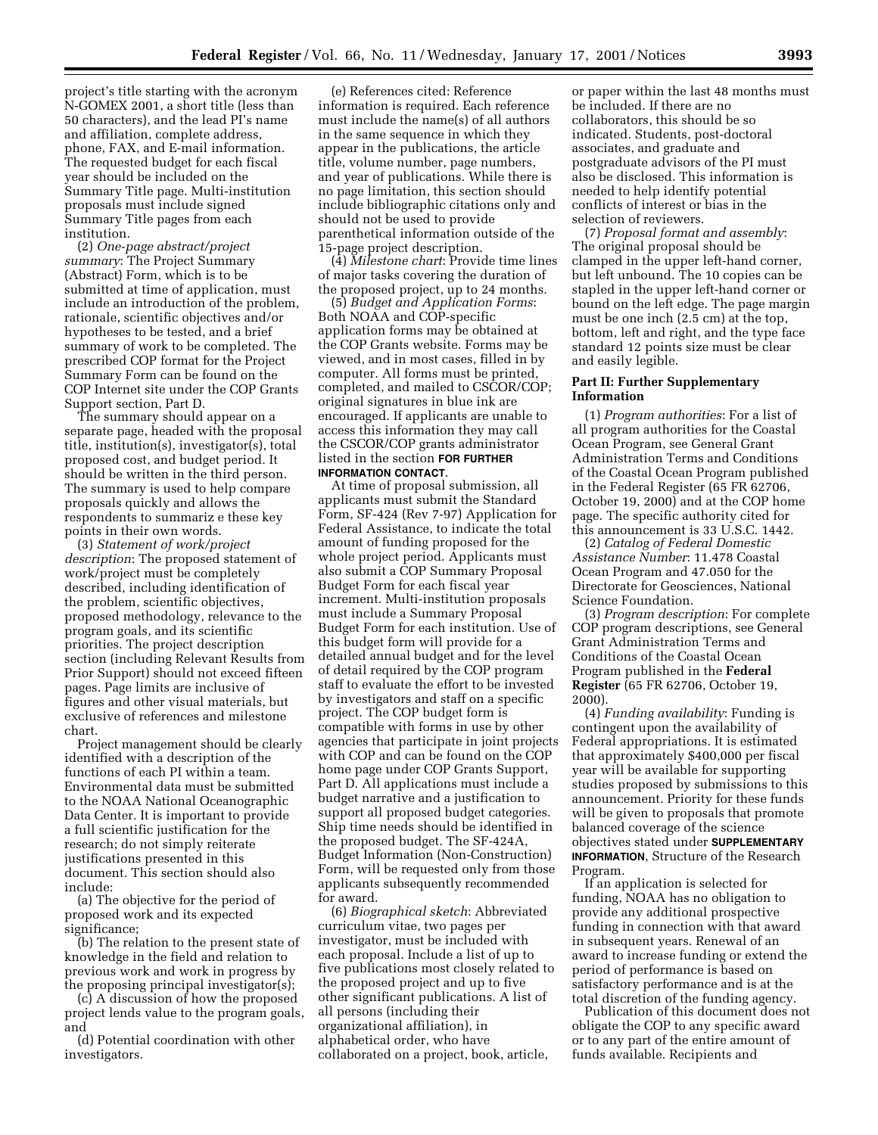project's title starting with the acronym N-GOMEX 2001, a short title (less than 50 characters), and the lead PI's name and affiliation, complete address, phone, FAX, and E-mail information. The requested budget for each fiscal year should be included on the Summary Title page. Multi-institution proposals must include signed Summary Title pages from each institution.

(2) *One-page abstract/project summary*: The Project Summary (Abstract) Form, which is to be submitted at time of application, must include an introduction of the problem, rationale, scientific objectives and/or hypotheses to be tested, and a brief summary of work to be completed. The prescribed COP format for the Project Summary Form can be found on the COP Internet site under the COP Grants Support section, Part D.

The summary should appear on a separate page, headed with the proposal title, institution(s), investigator(s), total proposed cost, and budget period. It should be written in the third person. The summary is used to help compare proposals quickly and allows the respondents to summariz e these key points in their own words.

(3) *Statement of work/project description*: The proposed statement of work/project must be completely described, including identification of the problem, scientific objectives, proposed methodology, relevance to the program goals, and its scientific priorities. The project description section (including Relevant Results from Prior Support) should not exceed fifteen pages. Page limits are inclusive of figures and other visual materials, but exclusive of references and milestone chart.

Project management should be clearly identified with a description of the functions of each PI within a team. Environmental data must be submitted to the NOAA National Oceanographic Data Center. It is important to provide a full scientific justification for the research; do not simply reiterate justifications presented in this document. This section should also include:

(a) The objective for the period of proposed work and its expected significance;

(b) The relation to the present state of knowledge in the field and relation to previous work and work in progress by the proposing principal investigator(s);

(c) A discussion of how the proposed project lends value to the program goals, and

(d) Potential coordination with other investigators.

(e) References cited: Reference information is required. Each reference must include the name(s) of all authors in the same sequence in which they appear in the publications, the article title, volume number, page numbers, and year of publications. While there is no page limitation, this section should include bibliographic citations only and should not be used to provide parenthetical information outside of the 15-page project description.

(4) *Milestone chart*: Provide time lines of major tasks covering the duration of the proposed project, up to 24 months.

(5) *Budget and Application Forms*: Both NOAA and COP-specific application forms may be obtained at the COP Grants website. Forms may be viewed, and in most cases, filled in by computer. All forms must be printed, completed, and mailed to CSCOR/COP; original signatures in blue ink are encouraged. If applicants are unable to access this information they may call the CSCOR/COP grants administrator listed in the section **FOR FURTHER INFORMATION CONTACT**.

At time of proposal submission, all applicants must submit the Standard Form, SF-424 (Rev 7-97) Application for Federal Assistance, to indicate the total amount of funding proposed for the whole project period. Applicants must also submit a COP Summary Proposal Budget Form for each fiscal year increment. Multi-institution proposals must include a Summary Proposal Budget Form for each institution. Use of this budget form will provide for a detailed annual budget and for the level of detail required by the COP program staff to evaluate the effort to be invested by investigators and staff on a specific project. The COP budget form is compatible with forms in use by other agencies that participate in joint projects with COP and can be found on the COP home page under COP Grants Support, Part D. All applications must include a budget narrative and a justification to support all proposed budget categories. Ship time needs should be identified in the proposed budget. The SF-424A, Budget Information (Non-Construction) Form, will be requested only from those applicants subsequently recommended for award.

(6) *Biographical sketch*: Abbreviated curriculum vitae, two pages per investigator, must be included with each proposal. Include a list of up to five publications most closely related to the proposed project and up to five other significant publications. A list of all persons (including their organizational affiliation), in alphabetical order, who have collaborated on a project, book, article,

or paper within the last 48 months must be included. If there are no collaborators, this should be so indicated. Students, post-doctoral associates, and graduate and postgraduate advisors of the PI must also be disclosed. This information is needed to help identify potential conflicts of interest or bias in the selection of reviewers.

(7) *Proposal format and assembly*: The original proposal should be clamped in the upper left-hand corner, but left unbound. The 10 copies can be stapled in the upper left-hand corner or bound on the left edge. The page margin must be one inch (2.5 cm) at the top, bottom, left and right, and the type face standard 12 points size must be clear and easily legible.

### **Part II: Further Supplementary Information**

(1) *Program authorities*: For a list of all program authorities for the Coastal Ocean Program, see General Grant Administration Terms and Conditions of the Coastal Ocean Program published in the Federal Register (65 FR 62706, October 19, 2000) and at the COP home page. The specific authority cited for this announcement is 33 U.S.C. 1442.

(2) *Catalog of Federal Domestic Assistance Number*: 11.478 Coastal Ocean Program and 47.050 for the Directorate for Geosciences, National Science Foundation.

(3) *Program description*: For complete COP program descriptions, see General Grant Administration Terms and Conditions of the Coastal Ocean Program published in the **Federal Register** (65 FR 62706, October 19, 2000).

(4) *Funding availability*: Funding is contingent upon the availability of Federal appropriations. It is estimated that approximately \$400,000 per fiscal year will be available for supporting studies proposed by submissions to this announcement. Priority for these funds will be given to proposals that promote balanced coverage of the science objectives stated under **SUPPLEMENTARY INFORMATION**, Structure of the Research Program.

If an application is selected for funding, NOAA has no obligation to provide any additional prospective funding in connection with that award in subsequent years. Renewal of an award to increase funding or extend the period of performance is based on satisfactory performance and is at the total discretion of the funding agency.

Publication of this document does not obligate the COP to any specific award or to any part of the entire amount of funds available. Recipients and